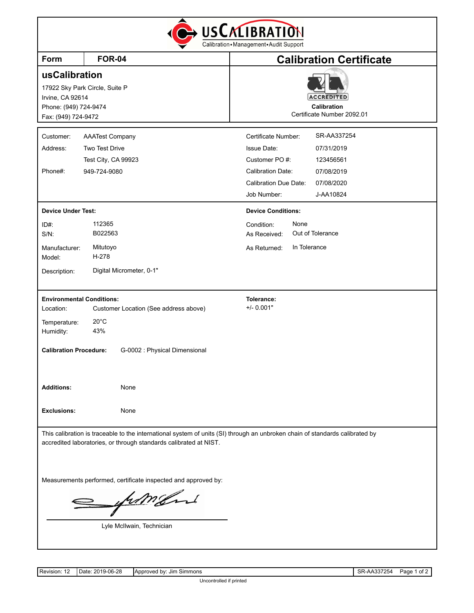| <b>Form</b>                      | <b>FOR-04</b>                                                     | <b>Calibration Certificate</b>                                                                                               |
|----------------------------------|-------------------------------------------------------------------|------------------------------------------------------------------------------------------------------------------------------|
| usCalibration                    |                                                                   |                                                                                                                              |
|                                  | 17922 Sky Park Circle, Suite P                                    |                                                                                                                              |
| Irvine, CA 92614                 |                                                                   | <b>ACCREDITED</b>                                                                                                            |
| Phone: (949) 724-9474            |                                                                   | <b>Calibration</b><br>Certificate Number 2092.01                                                                             |
| Fax: (949) 724-9472              |                                                                   |                                                                                                                              |
| Customer:                        | <b>AAATest Company</b>                                            | SR-AA337254<br>Certificate Number:                                                                                           |
| Address:                         | <b>Two Test Drive</b>                                             | <b>Issue Date:</b><br>07/31/2019                                                                                             |
|                                  | Test City, CA 99923                                               | Customer PO#:<br>123456561                                                                                                   |
| Phone#:                          | 949-724-9080                                                      | <b>Calibration Date:</b><br>07/08/2019                                                                                       |
|                                  |                                                                   | <b>Calibration Due Date:</b><br>07/08/2020                                                                                   |
|                                  |                                                                   | Job Number:<br>J-AA10824                                                                                                     |
| <b>Device Under Test:</b>        |                                                                   | <b>Device Conditions:</b>                                                                                                    |
| $ID#$ :                          | 112365                                                            | None<br>Condition:                                                                                                           |
| $S/N$ :                          | B022563                                                           | Out of Tolerance<br>As Received:                                                                                             |
| Manufacturer:<br>Model:          | Mitutoyo<br>H-278                                                 | In Tolerance<br>As Returned:                                                                                                 |
| Description:                     | Digital Micrometer, 0-1"                                          |                                                                                                                              |
| <b>Environmental Conditions:</b> |                                                                   | Tolerance:                                                                                                                   |
| Location:                        | Customer Location (See address above)                             | $+/- 0.001"$                                                                                                                 |
| Temperature:                     | $20^{\circ}$ C                                                    |                                                                                                                              |
| Humidity:                        | 43%                                                               |                                                                                                                              |
| <b>Calibration Procedure:</b>    | G-0002 : Physical Dimensional                                     |                                                                                                                              |
|                                  |                                                                   |                                                                                                                              |
| <b>Additions:</b>                | None                                                              |                                                                                                                              |
| <b>Exclusions:</b>               | None                                                              |                                                                                                                              |
|                                  | accredited laboratories, or through standards calibrated at NIST. | This calibration is traceable to the international system of units (SI) through an unbroken chain of standards calibrated by |
|                                  |                                                                   |                                                                                                                              |

Lyle McIlwain, Technician